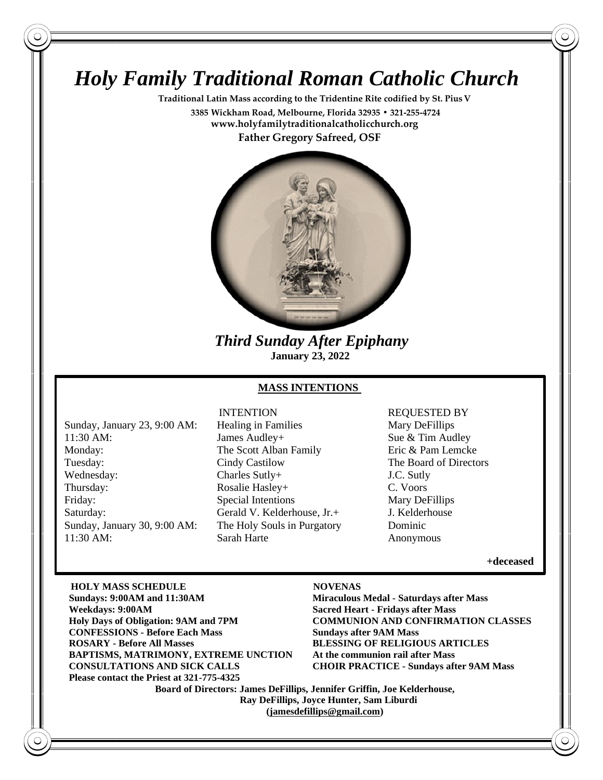# *Holy Family Traditional Roman Catholic Church*

**Traditional Latin Mass according to the Tridentine Rite codified by St. PiusV 3385 Wickham Road, Melbourne, Florida 32935 • 321-255-4724 www.holyfamilytraditionalcatholicchurch.org Father Gregory Safreed, OSF**



 *Third Sunday After Epiphany*  **January 23, 2022**

#### **MASS INTENTIONS**

Sunday, January 23, 9:00 AM: Healing in Families Mary Defillips 11:30 AM: James Audley+ Sue & Tim Audley Monday: The Scott Alban Family Eric & Pam Lemcke Tuesday: Cindy Castilow The Board of Directors Wednesday: Charles Sutly + T.C. Sutly = T.C. Sutly Thursday: Rosalie Hasley+ C. Voors Friday: Special Intentions Mary DeFillips Saturday: Gerald V. Kelderhouse, Jr. + J. Kelderhouse Sunday, January 30, 9:00 AM: The Holy Souls in Purgatory Dominic 11:30 AM: Sarah Harte Anonymous

# INTENTION REQUESTED BY

**+deceased** 

**HOLY MASS SCHEDULE NOVENAS Sundays: 9:00AM and 11:30AM Miraculous Medal - Saturdays after Mass Weekdays: 9:00AM Sacred Heart - Fridays after Mass Holy Days of Obligation: 9AM and 7PM COMMUNION AND CONFIRMATION CLASSES CONFESSIONS - Before Each Mass Sundays after 9AM Mass ROSARY - Before All Masses BLESSING OF RELIGIOUS ARTICLES BAPTISMS, MATRIMONY, EXTREME UNCTION At the communion rail after Mass CONSULTATIONS AND SICK CALLS CHOIR PRACTICE - Sundays after 9AM Mass Please contact the Priest at 321-775-4325**

**Board of Directors: James DeFillips, Jennifer Griffin, Joe Kelderhouse, Ray DeFillips, Joyce Hunter, Sam Liburdi [\(jamesdefillips@gmail.com\)](mailto:jamesdefillips@gmail.com)**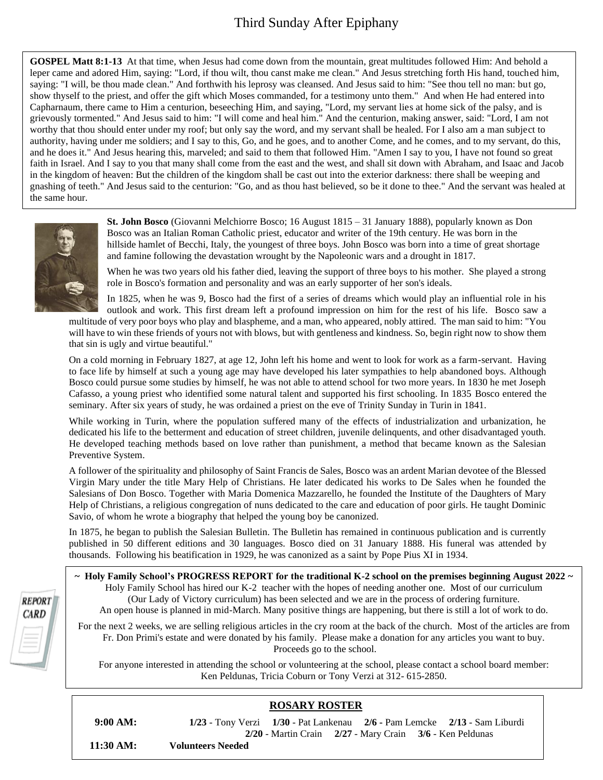# Third Sunday After Epiphany

**GOSPEL Matt 8:1-13** At that time, when Jesus had come down from the mountain, great multitudes followed Him: And behold a leper came and adored Him, saying: "Lord, if thou wilt, thou canst make me clean." And Jesus stretching forth His hand, touched him, saying: "I will, be thou made clean." And forthwith his leprosy was cleansed. And Jesus said to him: "See thou tell no man: but go, show thyself to the priest, and offer the gift which Moses commanded, for a testimony unto them." And when He had entered into Capharnaum, there came to Him a centurion, beseeching Him, and saying, "Lord, my servant lies at home sick of the palsy, and is grievously tormented." And Jesus said to him: "I will come and heal him." And the centurion, making answer, said: "Lord, I am not worthy that thou should enter under my roof; but only say the word, and my servant shall be healed. For I also am a man subject to authority, having under me soldiers; and I say to this, Go, and he goes, and to another Come, and he comes, and to my servant, do this, and he does it." And Jesus hearing this, marveled; and said to them that followed Him. "Amen I say to you, I have not found so great faith in Israel. And I say to you that many shall come from the east and the west, and shall sit down with Abraham, and Isaac and Jacob in the kingdom of heaven: But the children of the kingdom shall be cast out into the exterior darkness: there shall be weeping and gnashing of teeth." And Jesus said to the centurion: "Go, and as thou hast believed, so be it done to thee." And the servant was healed at the same hour.



**St. John Bosco** (Giovanni Melchiorre Bosco; 16 August 1815 – 31 January 1888), popularly known as Don Bosco was an Italian Roman Catholic priest, educator and writer of the 19th century. He was born in the hillside hamlet of Becchi, Italy, the youngest of three boys. John Bosco was born into a time of great shortage and famine following the devastation wrought by the Napoleonic wars and a drought in 1817.

When he was two years old his father died, leaving the support of three boys to his mother. She played a strong role in Bosco's formation and personality and was an early supporter of her son's ideals.

In 1825, when he was 9, Bosco had the first of a series of dreams which would play an influential role in his outlook and work. This first dream left a profound impression on him for the rest of his life. Bosco saw a multitude of very poor boys who play and blaspheme, and a man, who appeared, nobly attired. The man said to him: "You will have to win these friends of yours not with blows, but with gentleness and kindness. So, begin right now to show them

that sin is ugly and virtue beautiful." On a cold morning in February 1827, at age 12, John left his home and went to look for work as a farm-servant. Having to face life by himself at such a young age may have developed his later sympathies to help abandoned boys. Although Bosco could pursue some studies by himself, he was not able to attend school for two more years. In 1830 he met Joseph

Cafasso, a young priest who identified some natural talent and supported his first schooling. In 1835 Bosco entered the seminary. After six years of study, he was ordained a priest on the eve of Trinity Sunday in Turin in 1841.

While working in Turin, where the population suffered many of the effects of industrialization and urbanization, he dedicated his life to the betterment and education of street children, juvenile delinquents, and other disadvantaged youth. He developed teaching methods based on love rather than punishment, a method that became known as the Salesian Preventive System.

A follower of the spirituality and philosophy of Saint Francis de Sales, Bosco was an ardent Marian devotee of the Blessed Virgin Mary under the title Mary Help of Christians. He later dedicated his works to De Sales when he founded the Salesians of Don Bosco. Together with Maria Domenica Mazzarello, he founded the Institute of the Daughters of Mary Help of Christians, a religious congregation of nuns dedicated to the care and education of poor girls. He taught Dominic Savio, of whom he wrote a biography that helped the young boy be canonized.

In 1875, he began to publish the Salesian Bulletin. The Bulletin has remained in continuous publication and is currently published in 50 different editions and 30 languages. Bosco died on 31 January 1888. His funeral was attended by thousands. Following his beatification in 1929, he was canonized as a saint by Pope Pius XI in 1934.

**~ Holy Family School's PROGRESS REPORT for the traditional K-2 school on the premises beginning August 2022 ~** Holy Family School has hired our K-2 teacher with the hopes of needing another one. Most of our curriculum (Our Lady of Victory curriculum) has been selected and we are in the process of ordering furniture. An open house is planned in mid-March. Many positive things are happening, but there is still a lot of work to do.

For the next 2 weeks, we are selling religious articles in the cry room at the back of the church. Most of the articles are from Fr. Don Primi's estate and were donated by his family. Please make a donation for any articles you want to buy. Proceeds go to the school.

For anyone interested in attending the school or volunteering at the school, please contact a school board member: Ken Peldunas, Tricia Coburn or Tony Verzi at 312- 615-2850.

# **ROSARY ROSTER**

 **9:00 AM: 1/23** - Tony Verzi **1/30** - Pat Lankenau **2/6 -** Pam Lemcke **2/13** - Sam Liburdi **2/20** - Martin Crain **2/27** - Mary Crain **3/6** - Ken Peldunas  **11:30 AM: Volunteers Needed**

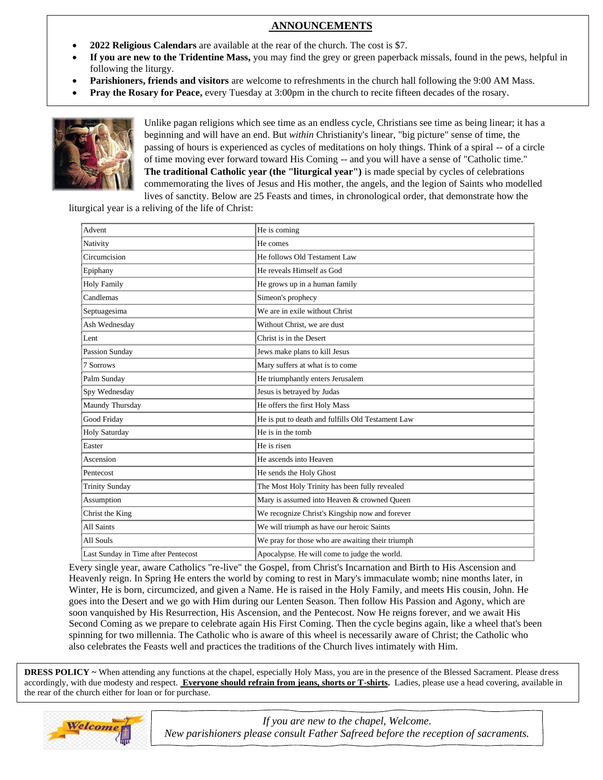# Third Sunday After Epiphany  **ANNOUNCEMENTS**

- **2022 Religious Calendars** are available at the rear of the church. The cost is \$7.
- **If you are new to the Tridentine Mass,** you may find the grey or green paperback missals, found in the pews, helpful in following the liturgy.
- **Parishioners, friends and visitors** are welcome to refreshments in the church hall following the 9:00 AM Mass.
- **Pray the Rosary for Peace,** every Tuesday at 3:00pm in the church to recite fifteen decades of the rosary.



Unlike pagan religions which see time as an endless cycle, Christians see time as being linear; it has a beginning and will have an end. But *within* Christianity's linear, "big picture" sense of time, the passing of hours is experienced as cycles of meditations on holy things. Think of a spiral -- of a circle of time moving ever forward toward His Coming -- and you will have a sense of "Catholic time." **The traditional Catholic year (the "liturgical year")** is made special by cycles of celebrations commemorating the lives of Jesus and His mother, the angels, and the legion of Saints who modelled lives of sanctity. Below are 25 Feasts and times, in chronological order, that demonstrate how the

liturgical year is a reliving of the life of Christ:

| Advent                              | He is coming                                      |
|-------------------------------------|---------------------------------------------------|
| Nativity                            | He comes                                          |
| Circumcision                        | He follows Old Testament Law                      |
| Epiphany                            | He reveals Himself as God                         |
| <b>Holy Family</b>                  | He grows up in a human family                     |
| Candlemas                           | Simeon's prophecy                                 |
| Septuagesima                        | We are in exile without Christ                    |
| Ash Wednesday                       | Without Christ, we are dust                       |
| Lent                                | Christ is in the Desert                           |
| Passion Sunday                      | Jews make plans to kill Jesus                     |
| 7 Sorrows                           | Mary suffers at what is to come                   |
| Palm Sunday                         | He triumphantly enters Jerusalem                  |
| Spy Wednesday                       | Jesus is betrayed by Judas                        |
| Maundy Thursday                     | He offers the first Holy Mass                     |
| Good Friday                         | He is put to death and fulfills Old Testament Law |
| Holy Saturday                       | He is in the tomb                                 |
| Easter                              | He is risen                                       |
| Ascension                           | He ascends into Heaven                            |
| Pentecost                           | He sends the Holy Ghost                           |
| <b>Trinity Sunday</b>               | The Most Holy Trinity has been fully revealed     |
| Assumption                          | Mary is assumed into Heaven & crowned Queen       |
| Christ the King                     | We recognize Christ's Kingship now and forever    |
| All Saints                          | We will triumph as have our heroic Saints         |
| All Souls                           | We pray for those who are awaiting their triumph  |
| Last Sunday in Time after Pentecost | Apocalypse. He will come to judge the world.      |

Every single year, aware Catholics "re-live" the Gospel, from Christ's Incarnation and Birth to His Ascension and Heavenly reign. In Spring He enters the world by coming to rest in Mary's immaculate womb; nine months later, in Winter, He is born, circumcized, and given a Name. He is raised in the Holy Family, and meets His cousin, John. He goes into the Desert and we go with Him during our Lenten Season. Then follow His Passion and Agony, which are soon vanquished by His Resurrection, His Ascension, and the Pentecost. Now He reigns forever, and we await His Second Coming as we prepare to celebrate again His First Coming. Then the cycle begins again, like a wheel that's been spinning for two millennia. The Catholic who is aware of this wheel is necessarily aware of Christ; the Catholic who also [celebrates the Feasts](https://www.fisheaters.com/customs.html) well and practices the traditions of the Church lives intimately with Him.

 **DRESS POLICY ~** When attending any functions at the chapel, especially Holy Mass, you are in the presence of the Blessed Sacrament. Please dress  accordingly, with due modesty and respect. **Everyone should refrain from jeans, shorts or T-shirts.** Ladies, please use a head covering, available in the rear of the church either for loan or for purchase.



*If you are new to the chapel, Welcome. New parishioners please consult Father Safreed before the reception of sacraments.*